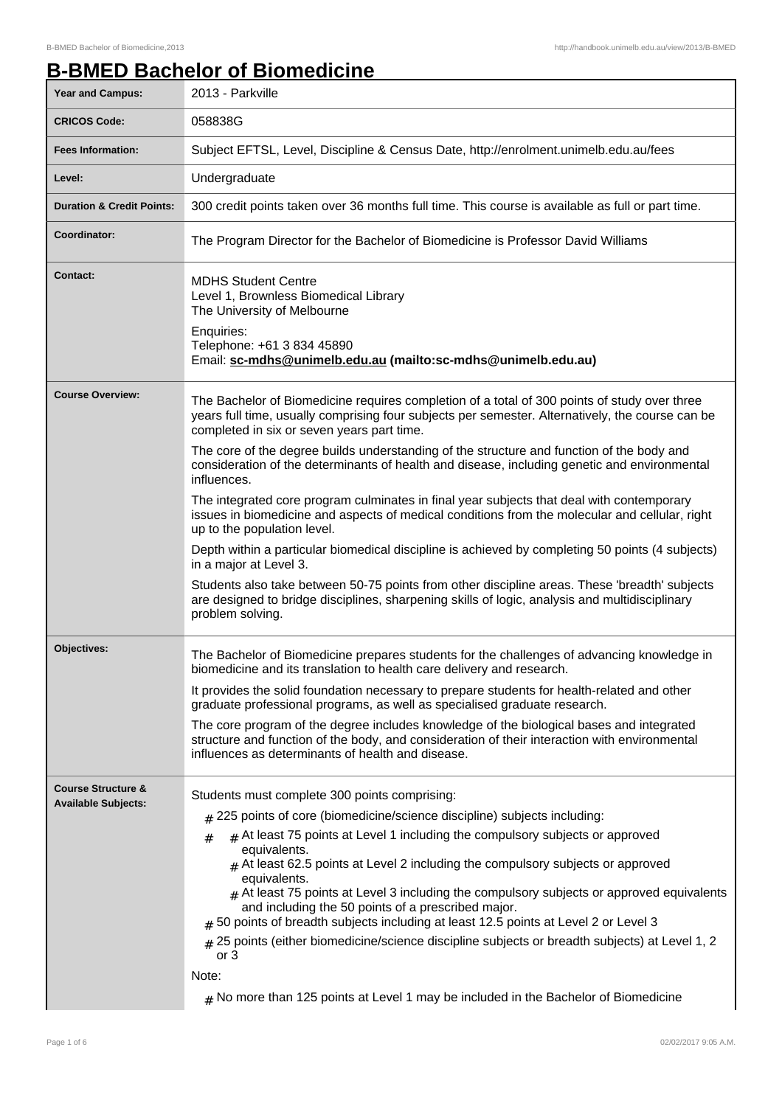## **B-BMED Bachelor of Biomedicine**

| <b>Year and Campus:</b>              | 2013 - Parkville                                                                                                                                                                                                                                                                                                                                                                                                                                           |
|--------------------------------------|------------------------------------------------------------------------------------------------------------------------------------------------------------------------------------------------------------------------------------------------------------------------------------------------------------------------------------------------------------------------------------------------------------------------------------------------------------|
| <b>CRICOS Code:</b>                  | 058838G                                                                                                                                                                                                                                                                                                                                                                                                                                                    |
| <b>Fees Information:</b>             | Subject EFTSL, Level, Discipline & Census Date, http://enrolment.unimelb.edu.au/fees                                                                                                                                                                                                                                                                                                                                                                       |
| Level:                               | Undergraduate                                                                                                                                                                                                                                                                                                                                                                                                                                              |
| <b>Duration &amp; Credit Points:</b> | 300 credit points taken over 36 months full time. This course is available as full or part time.                                                                                                                                                                                                                                                                                                                                                           |
| Coordinator:                         | The Program Director for the Bachelor of Biomedicine is Professor David Williams                                                                                                                                                                                                                                                                                                                                                                           |
| <b>Contact:</b>                      | <b>MDHS Student Centre</b><br>Level 1, Brownless Biomedical Library<br>The University of Melbourne<br>Enquiries:<br>Telephone: +61 3 834 45890<br>Email: sc-mdhs@unimelb.edu.au (mailto:sc-mdhs@unimelb.edu.au)                                                                                                                                                                                                                                            |
|                                      |                                                                                                                                                                                                                                                                                                                                                                                                                                                            |
| <b>Course Overview:</b>              | The Bachelor of Biomedicine requires completion of a total of 300 points of study over three<br>years full time, usually comprising four subjects per semester. Alternatively, the course can be<br>completed in six or seven years part time.                                                                                                                                                                                                             |
|                                      | The core of the degree builds understanding of the structure and function of the body and<br>consideration of the determinants of health and disease, including genetic and environmental<br>influences.                                                                                                                                                                                                                                                   |
|                                      | The integrated core program culminates in final year subjects that deal with contemporary<br>issues in biomedicine and aspects of medical conditions from the molecular and cellular, right<br>up to the population level.                                                                                                                                                                                                                                 |
|                                      | Depth within a particular biomedical discipline is achieved by completing 50 points (4 subjects)<br>in a major at Level 3.                                                                                                                                                                                                                                                                                                                                 |
|                                      | Students also take between 50-75 points from other discipline areas. These 'breadth' subjects<br>are designed to bridge disciplines, sharpening skills of logic, analysis and multidisciplinary<br>problem solving.                                                                                                                                                                                                                                        |
| <b>Objectives:</b>                   | The Bachelor of Biomedicine prepares students for the challenges of advancing knowledge in<br>biomedicine and its translation to health care delivery and research.                                                                                                                                                                                                                                                                                        |
|                                      | It provides the solid foundation necessary to prepare students for health-related and other<br>graduate professional programs, as well as specialised graduate research.                                                                                                                                                                                                                                                                                   |
|                                      | The core program of the degree includes knowledge of the biological bases and integrated<br>structure and function of the body, and consideration of their interaction with environmental<br>influences as determinants of health and disease.                                                                                                                                                                                                             |
| <b>Course Structure &amp;</b>        | Students must complete 300 points comprising:                                                                                                                                                                                                                                                                                                                                                                                                              |
| <b>Available Subjects:</b>           | $#$ 225 points of core (biomedicine/science discipline) subjects including:                                                                                                                                                                                                                                                                                                                                                                                |
|                                      | $#$ At least 75 points at Level 1 including the compulsory subjects or approved<br>#<br>equivalents.<br>$_{\#}$ At least 62.5 points at Level 2 including the compulsory subjects or approved<br>equivalents.<br>$*$ At least 75 points at Level 3 including the compulsory subjects or approved equivalents<br>and including the 50 points of a prescribed major.<br># 50 points of breadth subjects including at least 12.5 points at Level 2 or Level 3 |
|                                      | # 25 points (either biomedicine/science discipline subjects or breadth subjects) at Level 1, 2<br>or $3$<br>Note:                                                                                                                                                                                                                                                                                                                                          |
|                                      | $_{\#}$ No more than 125 points at Level 1 may be included in the Bachelor of Biomedicine                                                                                                                                                                                                                                                                                                                                                                  |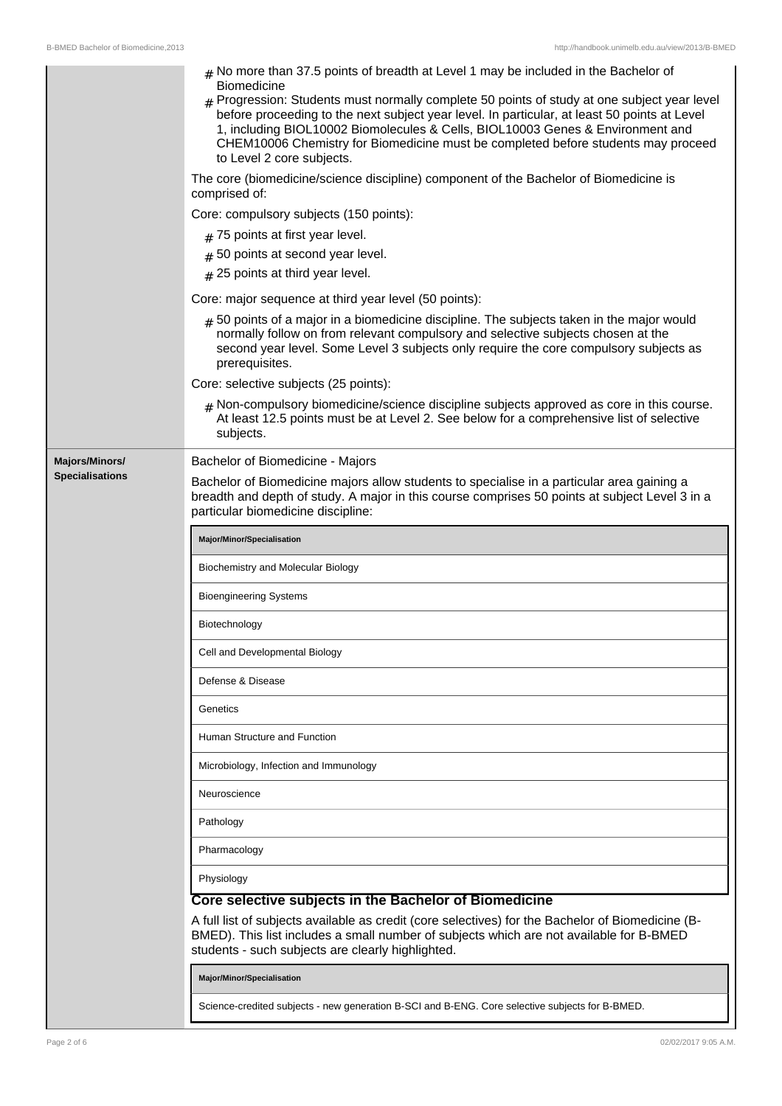|                        | $#$ No more than 37.5 points of breadth at Level 1 may be included in the Bachelor of<br>Biomedicine<br>$#$ Progression: Students must normally complete 50 points of study at one subject year level<br>before proceeding to the next subject year level. In particular, at least 50 points at Level<br>1, including BIOL10002 Biomolecules & Cells, BIOL10003 Genes & Environment and<br>CHEM10006 Chemistry for Biomedicine must be completed before students may proceed<br>to Level 2 core subjects. |
|------------------------|-----------------------------------------------------------------------------------------------------------------------------------------------------------------------------------------------------------------------------------------------------------------------------------------------------------------------------------------------------------------------------------------------------------------------------------------------------------------------------------------------------------|
|                        | The core (biomedicine/science discipline) component of the Bachelor of Biomedicine is<br>comprised of:                                                                                                                                                                                                                                                                                                                                                                                                    |
|                        | Core: compulsory subjects (150 points):                                                                                                                                                                                                                                                                                                                                                                                                                                                                   |
|                        | $#$ 75 points at first year level.                                                                                                                                                                                                                                                                                                                                                                                                                                                                        |
|                        | # 50 points at second year level.                                                                                                                                                                                                                                                                                                                                                                                                                                                                         |
|                        | # 25 points at third year level.                                                                                                                                                                                                                                                                                                                                                                                                                                                                          |
|                        | Core: major sequence at third year level (50 points):                                                                                                                                                                                                                                                                                                                                                                                                                                                     |
|                        | $#$ 50 points of a major in a biomedicine discipline. The subjects taken in the major would<br>normally follow on from relevant compulsory and selective subjects chosen at the<br>second year level. Some Level 3 subjects only require the core compulsory subjects as<br>prerequisites.                                                                                                                                                                                                                |
|                        | Core: selective subjects (25 points):                                                                                                                                                                                                                                                                                                                                                                                                                                                                     |
|                        | $#$ Non-compulsory biomedicine/science discipline subjects approved as core in this course.<br>At least 12.5 points must be at Level 2. See below for a comprehensive list of selective<br>subjects.                                                                                                                                                                                                                                                                                                      |
| Majors/Minors/         | Bachelor of Biomedicine - Majors                                                                                                                                                                                                                                                                                                                                                                                                                                                                          |
| <b>Specialisations</b> | Bachelor of Biomedicine majors allow students to specialise in a particular area gaining a<br>breadth and depth of study. A major in this course comprises 50 points at subject Level 3 in a<br>particular biomedicine discipline:                                                                                                                                                                                                                                                                        |
|                        | Major/Minor/Specialisation                                                                                                                                                                                                                                                                                                                                                                                                                                                                                |
|                        | Biochemistry and Molecular Biology                                                                                                                                                                                                                                                                                                                                                                                                                                                                        |
|                        | <b>Bioengineering Systems</b>                                                                                                                                                                                                                                                                                                                                                                                                                                                                             |
|                        | Biotechnology                                                                                                                                                                                                                                                                                                                                                                                                                                                                                             |
|                        | Cell and Developmental Biology                                                                                                                                                                                                                                                                                                                                                                                                                                                                            |
|                        | Defense & Disease                                                                                                                                                                                                                                                                                                                                                                                                                                                                                         |
|                        | Genetics                                                                                                                                                                                                                                                                                                                                                                                                                                                                                                  |
|                        | Human Structure and Function                                                                                                                                                                                                                                                                                                                                                                                                                                                                              |
|                        | Microbiology, Infection and Immunology                                                                                                                                                                                                                                                                                                                                                                                                                                                                    |
|                        | Neuroscience                                                                                                                                                                                                                                                                                                                                                                                                                                                                                              |
|                        | Pathology                                                                                                                                                                                                                                                                                                                                                                                                                                                                                                 |
|                        | Pharmacology                                                                                                                                                                                                                                                                                                                                                                                                                                                                                              |
|                        | Physiology                                                                                                                                                                                                                                                                                                                                                                                                                                                                                                |
|                        | Core selective subjects in the Bachelor of Biomedicine<br>A full list of subjects available as credit (core selectives) for the Bachelor of Biomedicine (B-<br>BMED). This list includes a small number of subjects which are not available for B-BMED<br>students - such subjects are clearly highlighted.                                                                                                                                                                                               |
|                        |                                                                                                                                                                                                                                                                                                                                                                                                                                                                                                           |
|                        | Major/Minor/Specialisation                                                                                                                                                                                                                                                                                                                                                                                                                                                                                |

 $\mathbf{I}$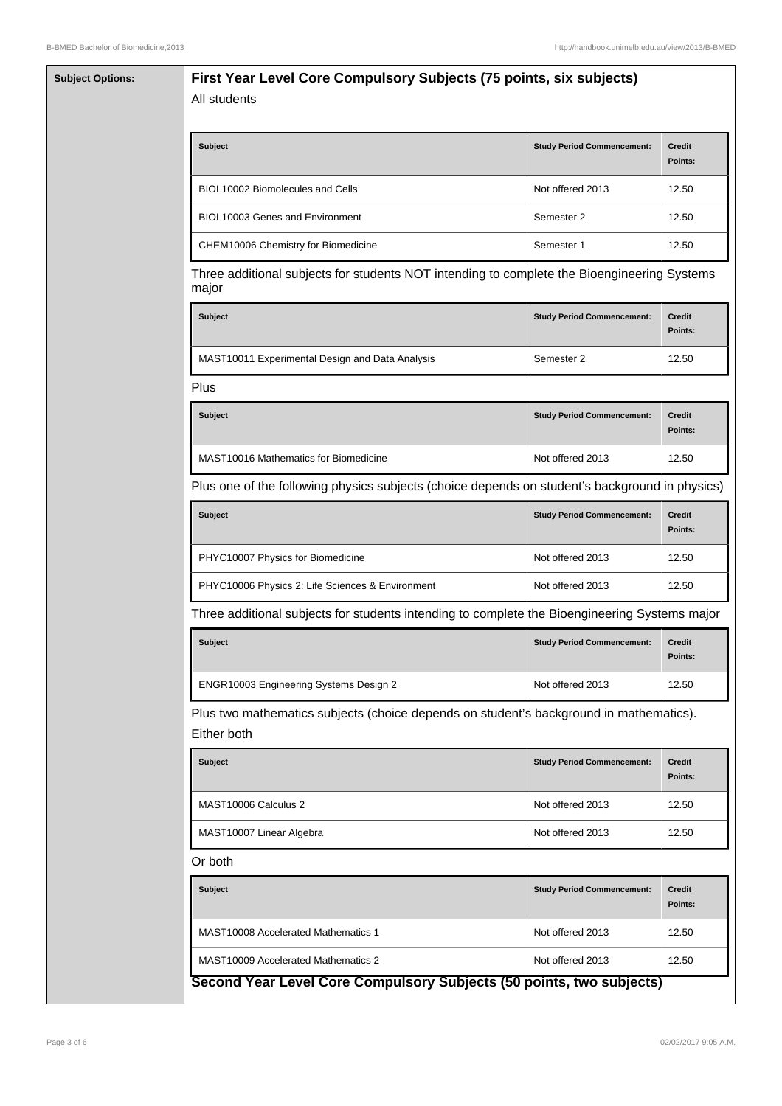| <b>Subject Options:</b> | First Year Level Core Compulsory Subjects (75 points, six subjects)<br>All students                   |                                   |                          |  |  |
|-------------------------|-------------------------------------------------------------------------------------------------------|-----------------------------------|--------------------------|--|--|
|                         | Subject                                                                                               | <b>Study Period Commencement:</b> | <b>Credit</b><br>Points: |  |  |
|                         | BIOL10002 Biomolecules and Cells                                                                      | Not offered 2013                  | 12.50                    |  |  |
|                         | BIOL10003 Genes and Environment                                                                       | Semester 2                        | 12.50                    |  |  |
|                         | CHEM10006 Chemistry for Biomedicine                                                                   | Semester 1                        | 12.50                    |  |  |
|                         | Three additional subjects for students NOT intending to complete the Bioengineering Systems<br>major  |                                   |                          |  |  |
|                         | <b>Subject</b>                                                                                        | <b>Study Period Commencement:</b> | <b>Credit</b><br>Points: |  |  |
|                         | MAST10011 Experimental Design and Data Analysis                                                       | Semester 2                        | 12.50                    |  |  |
|                         | Plus                                                                                                  |                                   |                          |  |  |
|                         | <b>Subject</b>                                                                                        | <b>Study Period Commencement:</b> | <b>Credit</b><br>Points: |  |  |
|                         | <b>MAST10016 Mathematics for Biomedicine</b>                                                          | Not offered 2013                  | 12.50                    |  |  |
|                         | Plus one of the following physics subjects (choice depends on student's background in physics)        |                                   |                          |  |  |
|                         | <b>Subject</b>                                                                                        | <b>Study Period Commencement:</b> | <b>Credit</b><br>Points: |  |  |
|                         | PHYC10007 Physics for Biomedicine                                                                     | Not offered 2013                  | 12.50                    |  |  |
|                         | PHYC10006 Physics 2: Life Sciences & Environment                                                      | Not offered 2013                  | 12.50                    |  |  |
|                         | Three additional subjects for students intending to complete the Bioengineering Systems major         |                                   |                          |  |  |
|                         | <b>Subject</b>                                                                                        | <b>Study Period Commencement:</b> | <b>Credit</b><br>Points: |  |  |
|                         | ENGR10003 Engineering Systems Design 2                                                                | Not offered 2013                  | 12.50                    |  |  |
|                         | Plus two mathematics subjects (choice depends on student's background in mathematics).<br>Either both |                                   |                          |  |  |
|                         | <b>Subject</b>                                                                                        | <b>Study Period Commencement:</b> | Credit<br>Points:        |  |  |
|                         | MAST10006 Calculus 2                                                                                  | Not offered 2013                  | 12.50                    |  |  |
|                         | MAST10007 Linear Algebra                                                                              | Not offered 2013                  | 12.50                    |  |  |
|                         | Or both                                                                                               |                                   |                          |  |  |
|                         | Subject                                                                                               | <b>Study Period Commencement:</b> | <b>Credit</b><br>Points: |  |  |
|                         | <b>MAST10008 Accelerated Mathematics 1</b>                                                            | Not offered 2013                  | 12.50                    |  |  |
|                         | <b>MAST10009 Accelerated Mathematics 2</b>                                                            | Not offered 2013                  | 12.50                    |  |  |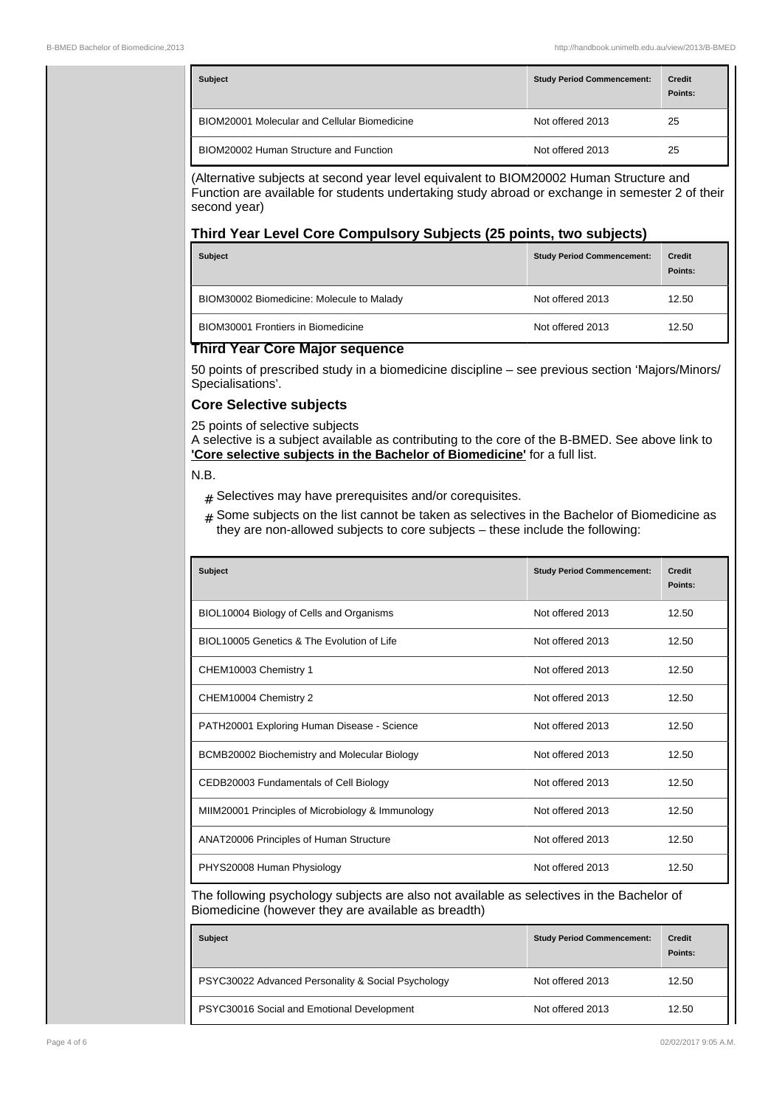| <b>Subject</b>                                      | <b>Study Period Commencement:</b> | <b>Credit</b><br>Points: |
|-----------------------------------------------------|-----------------------------------|--------------------------|
| <b>BIOM20001 Molecular and Cellular Biomedicine</b> | Not offered 2013                  | 25                       |
| BIOM20002 Human Structure and Function              | Not offered 2013                  | 25                       |

(Alternative subjects at second year level equivalent to BIOM20002 Human Structure and Function are available for students undertaking study abroad or exchange in semester 2 of their second year)

## **Third Year Level Core Compulsory Subjects (25 points, two subjects)**

| <b>Subject</b>                            | <b>Study Period Commencement:</b> | <b>Credit</b><br>Points: |
|-------------------------------------------|-----------------------------------|--------------------------|
| BIOM30002 Biomedicine: Molecule to Malady | Not offered 2013                  | 12.50                    |
| <b>BIOM30001 Frontiers in Biomedicine</b> | Not offered 2013                  | 12.50                    |

## **Third Year Core Major sequence**

50 points of prescribed study in a biomedicine discipline – see previous section 'Majors/Minors/ Specialisations'.

## **Core Selective subjects**

25 points of selective subjects

A selective is a subject available as contributing to the core of the B-BMED. See above link to **'Core selective subjects in the Bachelor of Biomedicine'** for a full list.

N.B.

- $#$  Selectives may have prerequisites and/or corequisites.
- $#$  Some subjects on the list cannot be taken as selectives in the Bachelor of Biomedicine as they are non-allowed subjects to core subjects  $-$  these include the following:

| <b>Subject</b>                                    | <b>Study Period Commencement:</b> | <b>Credit</b><br>Points: |
|---------------------------------------------------|-----------------------------------|--------------------------|
| BIOL10004 Biology of Cells and Organisms          | Not offered 2013                  | 12.50                    |
| BIOL10005 Genetics & The Evolution of Life        | Not offered 2013                  | 12.50                    |
| CHEM10003 Chemistry 1                             | Not offered 2013                  | 12.50                    |
| CHEM10004 Chemistry 2                             | Not offered 2013                  | 12.50                    |
| PATH20001 Exploring Human Disease - Science       | Not offered 2013                  | 12.50                    |
| BCMB20002 Biochemistry and Molecular Biology      | Not offered 2013                  | 12.50                    |
| CEDB20003 Fundamentals of Cell Biology            | Not offered 2013                  | 12.50                    |
| MIIM20001 Principles of Microbiology & Immunology | Not offered 2013                  | 12.50                    |
| ANAT20006 Principles of Human Structure           | Not offered 2013                  | 12.50                    |
| PHYS20008 Human Physiology                        | Not offered 2013                  | 12.50                    |

The following psychology subjects are also not available as selectives in the Bachelor of Biomedicine (however they are available as breadth)

| <b>Subject</b>                                     | <b>Study Period Commencement:</b> | <b>Credit</b><br>Points: |
|----------------------------------------------------|-----------------------------------|--------------------------|
| PSYC30022 Advanced Personality & Social Psychology | Not offered 2013                  | 12.50                    |
| PSYC30016 Social and Emotional Development         | Not offered 2013                  | 12.50                    |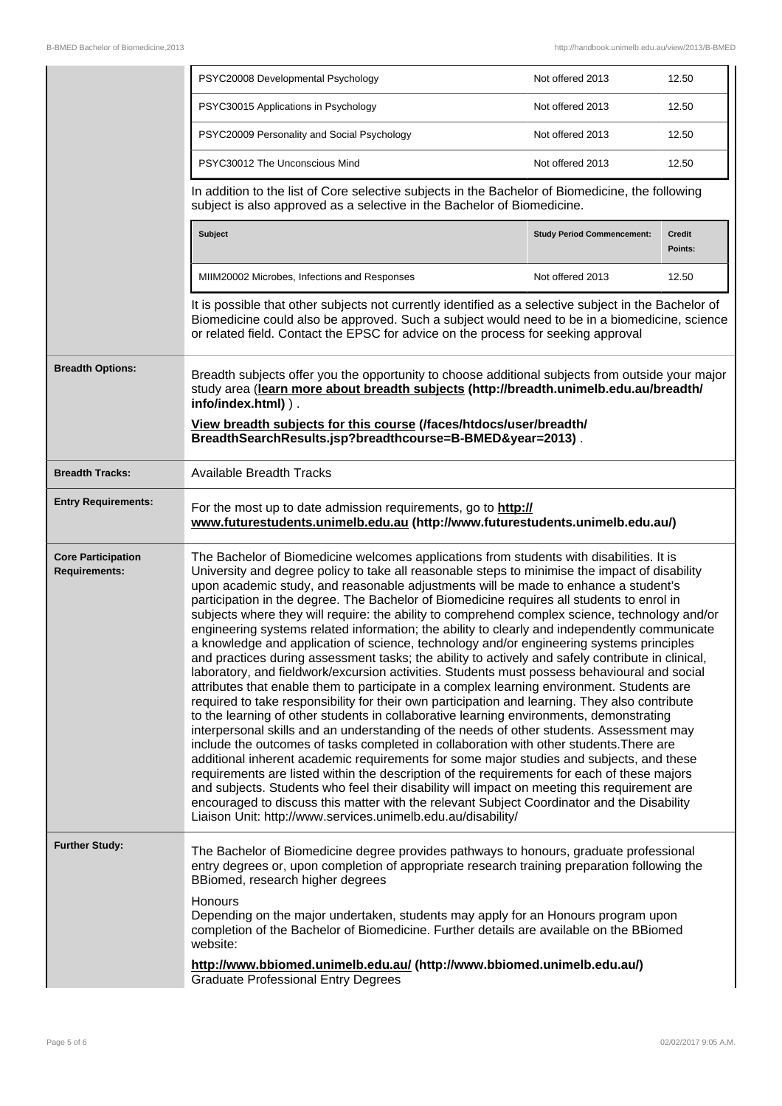|                                                   | PSYC20008 Developmental Psychology                                                                                                                                                                                                                                                                                                                                                                                                                                                                                                                                                                                                                                                                                                                                                                                                                                                                                                                                                                                                                                                                                                                                                                                                                                                                                                                                                                                                                                                                                                                                                                                                                                                                                                                                                                                             | Not offered 2013                  | 12.50             |
|---------------------------------------------------|--------------------------------------------------------------------------------------------------------------------------------------------------------------------------------------------------------------------------------------------------------------------------------------------------------------------------------------------------------------------------------------------------------------------------------------------------------------------------------------------------------------------------------------------------------------------------------------------------------------------------------------------------------------------------------------------------------------------------------------------------------------------------------------------------------------------------------------------------------------------------------------------------------------------------------------------------------------------------------------------------------------------------------------------------------------------------------------------------------------------------------------------------------------------------------------------------------------------------------------------------------------------------------------------------------------------------------------------------------------------------------------------------------------------------------------------------------------------------------------------------------------------------------------------------------------------------------------------------------------------------------------------------------------------------------------------------------------------------------------------------------------------------------------------------------------------------------|-----------------------------------|-------------------|
|                                                   | PSYC30015 Applications in Psychology                                                                                                                                                                                                                                                                                                                                                                                                                                                                                                                                                                                                                                                                                                                                                                                                                                                                                                                                                                                                                                                                                                                                                                                                                                                                                                                                                                                                                                                                                                                                                                                                                                                                                                                                                                                           | Not offered 2013                  | 12.50             |
|                                                   | PSYC20009 Personality and Social Psychology                                                                                                                                                                                                                                                                                                                                                                                                                                                                                                                                                                                                                                                                                                                                                                                                                                                                                                                                                                                                                                                                                                                                                                                                                                                                                                                                                                                                                                                                                                                                                                                                                                                                                                                                                                                    | Not offered 2013                  | 12.50             |
|                                                   | PSYC30012 The Unconscious Mind                                                                                                                                                                                                                                                                                                                                                                                                                                                                                                                                                                                                                                                                                                                                                                                                                                                                                                                                                                                                                                                                                                                                                                                                                                                                                                                                                                                                                                                                                                                                                                                                                                                                                                                                                                                                 | Not offered 2013                  | 12.50             |
|                                                   | In addition to the list of Core selective subjects in the Bachelor of Biomedicine, the following<br>subject is also approved as a selective in the Bachelor of Biomedicine.                                                                                                                                                                                                                                                                                                                                                                                                                                                                                                                                                                                                                                                                                                                                                                                                                                                                                                                                                                                                                                                                                                                                                                                                                                                                                                                                                                                                                                                                                                                                                                                                                                                    |                                   |                   |
|                                                   | <b>Subject</b>                                                                                                                                                                                                                                                                                                                                                                                                                                                                                                                                                                                                                                                                                                                                                                                                                                                                                                                                                                                                                                                                                                                                                                                                                                                                                                                                                                                                                                                                                                                                                                                                                                                                                                                                                                                                                 | <b>Study Period Commencement:</b> | Credit<br>Points: |
|                                                   | MIIM20002 Microbes, Infections and Responses                                                                                                                                                                                                                                                                                                                                                                                                                                                                                                                                                                                                                                                                                                                                                                                                                                                                                                                                                                                                                                                                                                                                                                                                                                                                                                                                                                                                                                                                                                                                                                                                                                                                                                                                                                                   | Not offered 2013                  | 12.50             |
|                                                   | It is possible that other subjects not currently identified as a selective subject in the Bachelor of<br>Biomedicine could also be approved. Such a subject would need to be in a biomedicine, science<br>or related field. Contact the EPSC for advice on the process for seeking approval                                                                                                                                                                                                                                                                                                                                                                                                                                                                                                                                                                                                                                                                                                                                                                                                                                                                                                                                                                                                                                                                                                                                                                                                                                                                                                                                                                                                                                                                                                                                    |                                   |                   |
| <b>Breadth Options:</b>                           | Breadth subjects offer you the opportunity to choose additional subjects from outside your major<br>study area (learn more about breadth subjects (http://breadth.unimelb.edu.au/breadth/<br>info/index.html) ).                                                                                                                                                                                                                                                                                                                                                                                                                                                                                                                                                                                                                                                                                                                                                                                                                                                                                                                                                                                                                                                                                                                                                                                                                                                                                                                                                                                                                                                                                                                                                                                                               |                                   |                   |
|                                                   | View breadth subjects for this course (/faces/htdocs/user/breadth/<br>BreadthSearchResults.jsp?breadthcourse=B-BMED&year=2013).                                                                                                                                                                                                                                                                                                                                                                                                                                                                                                                                                                                                                                                                                                                                                                                                                                                                                                                                                                                                                                                                                                                                                                                                                                                                                                                                                                                                                                                                                                                                                                                                                                                                                                |                                   |                   |
| <b>Breadth Tracks:</b>                            | <b>Available Breadth Tracks</b>                                                                                                                                                                                                                                                                                                                                                                                                                                                                                                                                                                                                                                                                                                                                                                                                                                                                                                                                                                                                                                                                                                                                                                                                                                                                                                                                                                                                                                                                                                                                                                                                                                                                                                                                                                                                |                                   |                   |
| <b>Entry Requirements:</b>                        | For the most up to date admission requirements, go to http://<br>www.futurestudents.unimelb.edu.au (http://www.futurestudents.unimelb.edu.au/)                                                                                                                                                                                                                                                                                                                                                                                                                                                                                                                                                                                                                                                                                                                                                                                                                                                                                                                                                                                                                                                                                                                                                                                                                                                                                                                                                                                                                                                                                                                                                                                                                                                                                 |                                   |                   |
| <b>Core Participation</b><br><b>Requirements:</b> | The Bachelor of Biomedicine welcomes applications from students with disabilities. It is<br>University and degree policy to take all reasonable steps to minimise the impact of disability<br>upon academic study, and reasonable adjustments will be made to enhance a student's<br>participation in the degree. The Bachelor of Biomedicine requires all students to enrol in<br>subjects where they will require: the ability to comprehend complex science, technology and/or<br>engineering systems related information; the ability to clearly and independently communicate<br>a knowledge and application of science, technology and/or engineering systems principles<br>and practices during assessment tasks; the ability to actively and safely contribute in clinical,<br>laboratory, and fieldwork/excursion activities. Students must possess behavioural and social<br>attributes that enable them to participate in a complex learning environment. Students are<br>required to take responsibility for their own participation and learning. They also contribute<br>to the learning of other students in collaborative learning environments, demonstrating<br>interpersonal skills and an understanding of the needs of other students. Assessment may<br>include the outcomes of tasks completed in collaboration with other students. There are<br>additional inherent academic requirements for some major studies and subjects, and these<br>requirements are listed within the description of the requirements for each of these majors<br>and subjects. Students who feel their disability will impact on meeting this requirement are<br>encouraged to discuss this matter with the relevant Subject Coordinator and the Disability<br>Liaison Unit: http://www.services.unimelb.edu.au/disability/ |                                   |                   |
| <b>Further Study:</b>                             | The Bachelor of Biomedicine degree provides pathways to honours, graduate professional<br>entry degrees or, upon completion of appropriate research training preparation following the<br>BBiomed, research higher degrees<br><b>Honours</b><br>Depending on the major undertaken, students may apply for an Honours program upon<br>completion of the Bachelor of Biomedicine. Further details are available on the BBiomed<br>website:<br>http://www.bbiomed.unimelb.edu.au/ (http://www.bbiomed.unimelb.edu.au/)<br><b>Graduate Professional Entry Degrees</b>                                                                                                                                                                                                                                                                                                                                                                                                                                                                                                                                                                                                                                                                                                                                                                                                                                                                                                                                                                                                                                                                                                                                                                                                                                                              |                                   |                   |